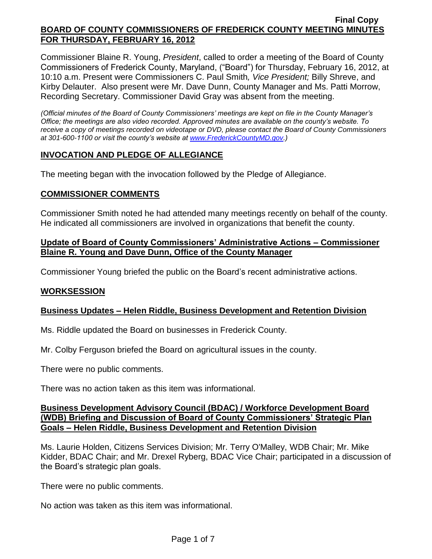Commissioner Blaine R. Young, *President*, called to order a meeting of the Board of County Commissioners of Frederick County, Maryland, ("Board") for Thursday, February 16, 2012, at 10:10 a.m. Present were Commissioners C. Paul Smith*, Vice President;* Billy Shreve, and Kirby Delauter. Also present were Mr. Dave Dunn, County Manager and Ms. Patti Morrow, Recording Secretary. Commissioner David Gray was absent from the meeting.

*(Official minutes of the Board of County Commissioners' meetings are kept on file in the County Manager's Office; the meetings are also video recorded. Approved minutes are available on the county's website. To receive a copy of meetings recorded on videotape or DVD, please contact the Board of County Commissioners at 301-600-1100 or visit the county's website at [www.FrederickCountyMD.gov.](http://www.frederickcountymd.gov/))*

## **INVOCATION AND PLEDGE OF ALLEGIANCE**

The meeting began with the invocation followed by the Pledge of Allegiance.

## **COMMISSIONER COMMENTS**

Commissioner Smith noted he had attended many meetings recently on behalf of the county. He indicated all commissioners are involved in organizations that benefit the county.

## **Update of Board of County Commissioners' Administrative Actions – Commissioner Blaine R. Young and Dave Dunn, Office of the County Manager**

Commissioner Young briefed the public on the Board's recent administrative actions.

## **WORKSESSION**

## **Business Updates – Helen Riddle, Business Development and Retention Division**

Ms. Riddle updated the Board on businesses in Frederick County.

Mr. Colby Ferguson briefed the Board on agricultural issues in the county.

There were no public comments.

There was no action taken as this item was informational.

### **Business Development Advisory Council (BDAC) / Workforce Development Board (WDB) Briefing and Discussion of Board of County Commissioners' Strategic Plan Goals – Helen Riddle, Business Development and Retention Division**

Ms. Laurie Holden, Citizens Services Division; Mr. Terry O'Malley, WDB Chair; Mr. Mike Kidder, BDAC Chair; and Mr. Drexel Ryberg, BDAC Vice Chair; participated in a discussion of the Board's strategic plan goals.

There were no public comments.

No action was taken as this item was informational.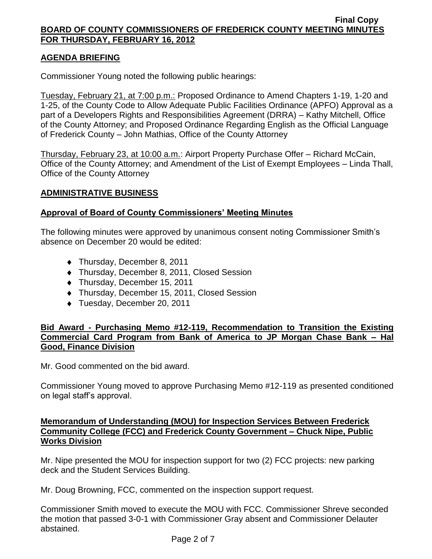# **AGENDA BRIEFING**

Commissioner Young noted the following public hearings:

Tuesday, February 21, at 7:00 p.m.: Proposed Ordinance to Amend Chapters 1-19, 1-20 and 1-25, of the County Code to Allow Adequate Public Facilities Ordinance (APFO) Approval as a part of a Developers Rights and Responsibilities Agreement (DRRA) – Kathy Mitchell, Office of the County Attorney; and Proposed Ordinance Regarding English as the Official Language of Frederick County – John Mathias, Office of the County Attorney

Thursday, February 23, at 10:00 a.m.: Airport Property Purchase Offer – Richard McCain, Office of the County Attorney; and Amendment of the List of Exempt Employees – Linda Thall, Office of the County Attorney

### **ADMINISTRATIVE BUSINESS**

## **Approval of Board of County Commissioners' Meeting Minutes**

The following minutes were approved by unanimous consent noting Commissioner Smith's absence on December 20 would be edited:

- ◆ Thursday, December 8, 2011
- ◆ Thursday, December 8, 2011, Closed Session
- Thursday, December 15, 2011
- ◆ Thursday, December 15, 2011, Closed Session
- ◆ Tuesday, December 20, 2011

## **Bid Award - Purchasing Memo #12-119, Recommendation to Transition the Existing Commercial Card Program from Bank of America to JP Morgan Chase Bank – Hal Good, Finance Division**

Mr. Good commented on the bid award.

Commissioner Young moved to approve Purchasing Memo #12-119 as presented conditioned on legal staff's approval.

## **Memorandum of Understanding (MOU) for Inspection Services Between Frederick Community College (FCC) and Frederick County Government – Chuck Nipe, Public Works Division**

Mr. Nipe presented the MOU for inspection support for two (2) FCC projects: new parking deck and the Student Services Building.

Mr. Doug Browning, FCC, commented on the inspection support request.

Commissioner Smith moved to execute the MOU with FCC. Commissioner Shreve seconded the motion that passed 3-0-1 with Commissioner Gray absent and Commissioner Delauter abstained.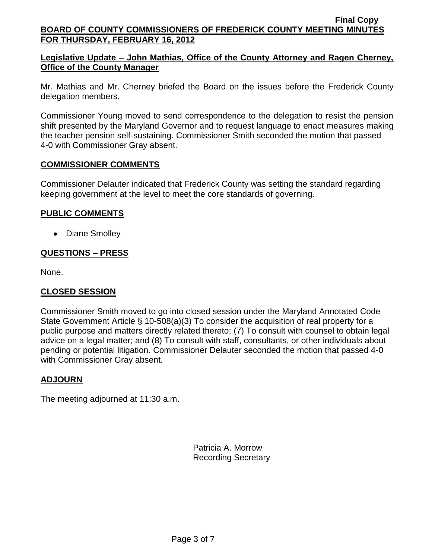# **Legislative Update – John Mathias, Office of the County Attorney and Ragen Cherney, Office of the County Manager**

Mr. Mathias and Mr. Cherney briefed the Board on the issues before the Frederick County delegation members.

Commissioner Young moved to send correspondence to the delegation to resist the pension shift presented by the Maryland Governor and to request language to enact measures making the teacher pension self-sustaining. Commissioner Smith seconded the motion that passed 4-0 with Commissioner Gray absent.

### **COMMISSIONER COMMENTS**

Commissioner Delauter indicated that Frederick County was setting the standard regarding keeping government at the level to meet the core standards of governing.

## **PUBLIC COMMENTS**

• Diane Smolley

# **QUESTIONS – PRESS**

None.

## **CLOSED SESSION**

Commissioner Smith moved to go into closed session under the Maryland Annotated Code State Government Article § 10-508(a)(3) To consider the acquisition of real property for a public purpose and matters directly related thereto; (7) To consult with counsel to obtain legal advice on a legal matter; and (8) To consult with staff, consultants, or other individuals about pending or potential litigation. Commissioner Delauter seconded the motion that passed 4-0 with Commissioner Gray absent.

## **ADJOURN**

The meeting adjourned at 11:30 a.m.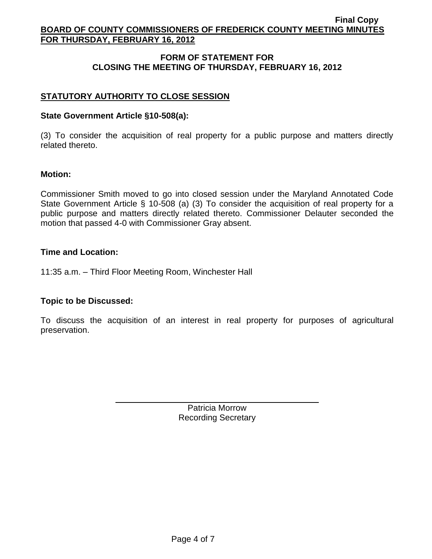# **FORM OF STATEMENT FOR CLOSING THE MEETING OF THURSDAY, FEBRUARY 16, 2012**

# **STATUTORY AUTHORITY TO CLOSE SESSION**

## **State Government Article §10-508(a):**

(3) To consider the acquisition of real property for a public purpose and matters directly related thereto.

### **Motion:**

Commissioner Smith moved to go into closed session under the Maryland Annotated Code State Government Article § 10-508 (a) (3) To consider the acquisition of real property for a public purpose and matters directly related thereto. Commissioner Delauter seconded the motion that passed 4-0 with Commissioner Gray absent.

### **Time and Location:**

11:35 a.m. – Third Floor Meeting Room, Winchester Hall

## **Topic to be Discussed:**

To discuss the acquisition of an interest in real property for purposes of agricultural preservation.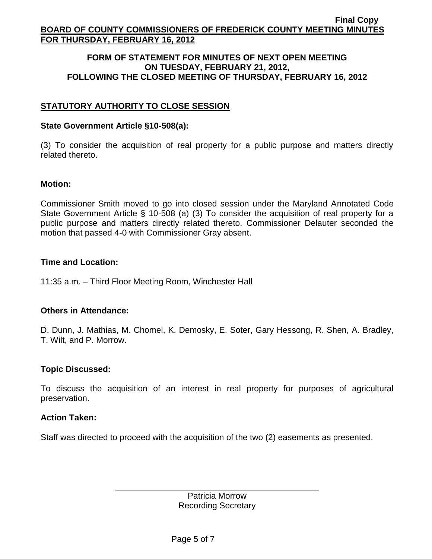### **FORM OF STATEMENT FOR MINUTES OF NEXT OPEN MEETING ON TUESDAY, FEBRUARY 21, 2012, FOLLOWING THE CLOSED MEETING OF THURSDAY, FEBRUARY 16, 2012**

# **STATUTORY AUTHORITY TO CLOSE SESSION**

### **State Government Article §10-508(a):**

(3) To consider the acquisition of real property for a public purpose and matters directly related thereto.

#### **Motion:**

Commissioner Smith moved to go into closed session under the Maryland Annotated Code State Government Article § 10-508 (a) (3) To consider the acquisition of real property for a public purpose and matters directly related thereto. Commissioner Delauter seconded the motion that passed 4-0 with Commissioner Gray absent.

### **Time and Location:**

11:35 a.m. – Third Floor Meeting Room, Winchester Hall

## **Others in Attendance:**

D. Dunn, J. Mathias, M. Chomel, K. Demosky, E. Soter, Gary Hessong, R. Shen, A. Bradley, T. Wilt, and P. Morrow.

## **Topic Discussed:**

To discuss the acquisition of an interest in real property for purposes of agricultural preservation.

#### **Action Taken:**

Staff was directed to proceed with the acquisition of the two (2) easements as presented.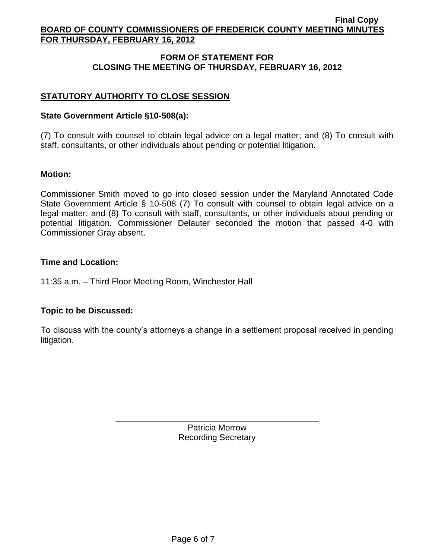# **FORM OF STATEMENT FOR CLOSING THE MEETING OF THURSDAY, FEBRUARY 16, 2012**

# **STATUTORY AUTHORITY TO CLOSE SESSION**

### **State Government Article §10-508(a):**

(7) To consult with counsel to obtain legal advice on a legal matter; and (8) To consult with staff, consultants, or other individuals about pending or potential litigation.

### **Motion:**

Commissioner Smith moved to go into closed session under the Maryland Annotated Code State Government Article § 10-508 (7) To consult with counsel to obtain legal advice on a legal matter; and (8) To consult with staff, consultants, or other individuals about pending or potential litigation. Commissioner Delauter seconded the motion that passed 4-0 with Commissioner Gray absent.

### **Time and Location:**

11:35 a.m. – Third Floor Meeting Room, Winchester Hall

## **Topic to be Discussed:**

To discuss with the county's attorneys a change in a settlement proposal received in pending litigation.